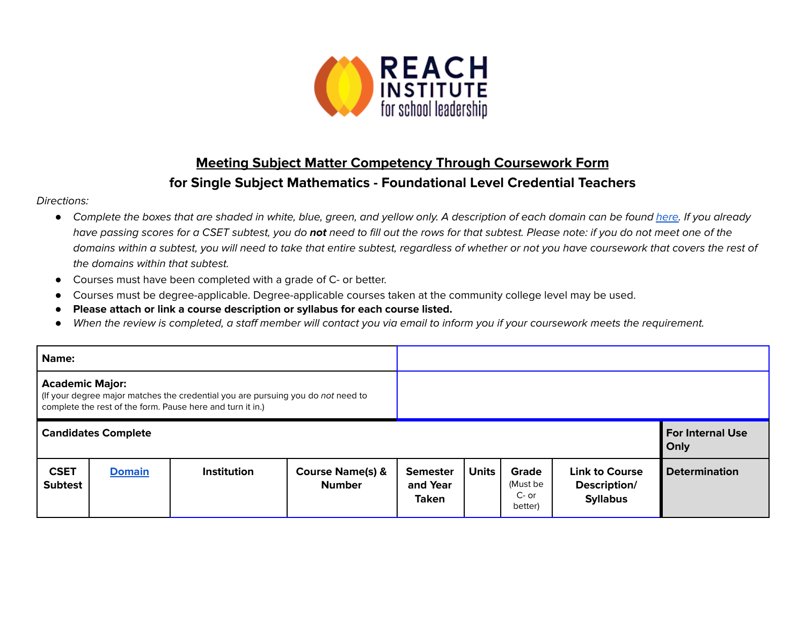

## **Meeting Subject Matter Competency Through Coursework Form for Single Subject Mathematics - Foundational Level Credential Teachers**

## Directions:

- Complete the boxes that are shaded in white, blue, green, and yellow only. A description of each domain can be found [here.](https://www.ctc.ca.gov/docs/default-source/educator-prep/files/domains-of-subject-matter-requirements.pdf?sfvrsn=dcd525b1_2) If you already have passing scores for a CSET subtest, you do **not** need to fill out the rows for that subtest. Please note: if you do not meet one of the domains within a subtest, you will need to take that entire subtest, regardless of whether or not you have coursework that covers the rest of the domains within that subtest.
- *●* Courses must have been completed with a grade of C- or better.
- Courses must be degree-applicable. Degree-applicable courses taken at the community college level may be used.
- *●* **Please attach or link a course description or syllabus for each course listed.**
- *●* When the review is completed, a staff member will contact you via email to inform you if your coursework meets the requirement.

| Name:                                                                                                                                                                    |               |                    |                                              |                                             |                                 |                                         |                                                          |                      |
|--------------------------------------------------------------------------------------------------------------------------------------------------------------------------|---------------|--------------------|----------------------------------------------|---------------------------------------------|---------------------------------|-----------------------------------------|----------------------------------------------------------|----------------------|
| <b>Academic Major:</b><br>(If your degree major matches the credential you are pursuing you do not need to<br>complete the rest of the form. Pause here and turn it in.) |               |                    |                                              |                                             |                                 |                                         |                                                          |                      |
| <b>Candidates Complete</b>                                                                                                                                               |               |                    |                                              |                                             | <b>For Internal Use</b><br>Only |                                         |                                                          |                      |
| <b>CSET</b><br><b>Subtest</b>                                                                                                                                            | <b>Domain</b> | <b>Institution</b> | <b>Course Name(s) &amp;</b><br><b>Number</b> | <b>Semester</b><br>and Year<br><b>Taken</b> | <b>Units</b>                    | Grade<br>(Must be<br>$C-$ or<br>better) | <b>Link to Course</b><br>Description/<br><b>Syllabus</b> | <b>Determination</b> |